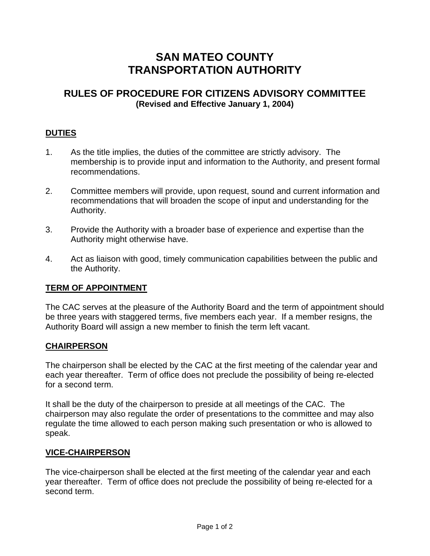# **SAN MATEO COUNTY TRANSPORTATION AUTHORITY**

## **RULES OF PROCEDURE FOR CITIZENS ADVISORY COMMITTEE (Revised and Effective January 1, 2004)**

## **DUTIES**

- 1. As the title implies, the duties of the committee are strictly advisory. The membership is to provide input and information to the Authority, and present formal recommendations.
- 2. Committee members will provide, upon request, sound and current information and recommendations that will broaden the scope of input and understanding for the Authority.
- 3. Provide the Authority with a broader base of experience and expertise than the Authority might otherwise have.
- 4. Act as liaison with good, timely communication capabilities between the public and the Authority.

#### **TERM OF APPOINTMENT**

The CAC serves at the pleasure of the Authority Board and the term of appointment should be three years with staggered terms, five members each year. If a member resigns, the Authority Board will assign a new member to finish the term left vacant.

#### **CHAIRPERSON**

The chairperson shall be elected by the CAC at the first meeting of the calendar year and each year thereafter. Term of office does not preclude the possibility of being re-elected for a second term.

It shall be the duty of the chairperson to preside at all meetings of the CAC. The chairperson may also regulate the order of presentations to the committee and may also regulate the time allowed to each person making such presentation or who is allowed to speak.

#### **VICE-CHAIRPERSON**

The vice-chairperson shall be elected at the first meeting of the calendar year and each year thereafter. Term of office does not preclude the possibility of being re-elected for a second term.